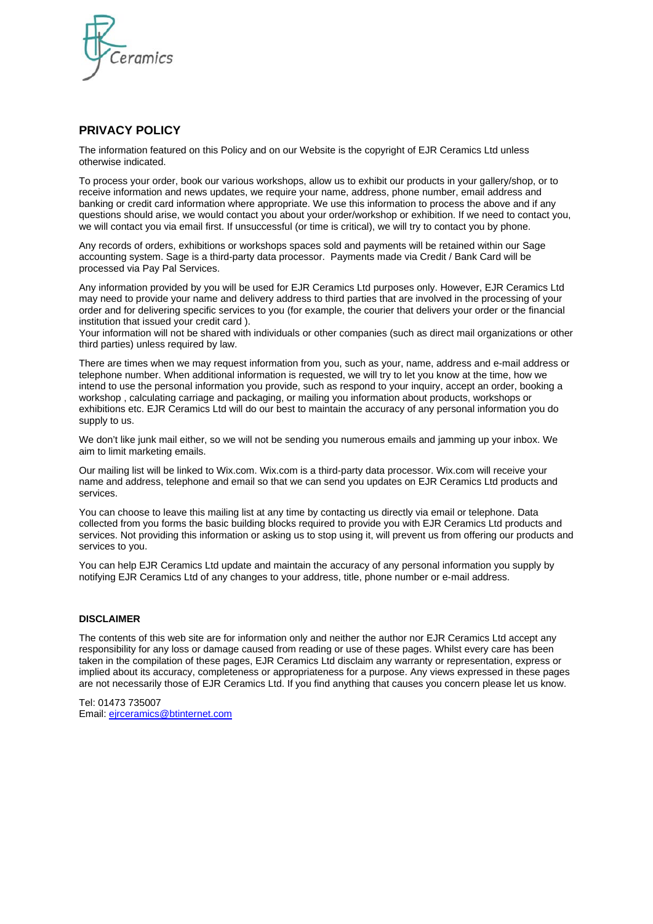

## **PRIVACY POLICY**

The information featured on this Policy and on our Website is the copyright of EJR Ceramics Ltd unless otherwise indicated.

To process your order, book our various workshops, allow us to exhibit our products in your gallery/shop, or to receive information and news updates, we require your name, address, phone number, email address and banking or credit card information where appropriate. We use this information to process the above and if any questions should arise, we would contact you about your order/workshop or exhibition. If we need to contact you, we will contact you via email first. If unsuccessful (or time is critical), we will try to contact you by phone.

Any records of orders, exhibitions or workshops spaces sold and payments will be retained within our Sage accounting system. Sage is a third-party data processor. Payments made via Credit / Bank Card will be processed via Pay Pal Services.

Any information provided by you will be used for EJR Ceramics Ltd purposes only. However, EJR Ceramics Ltd may need to provide your name and delivery address to third parties that are involved in the processing of your order and for delivering specific services to you (for example, the courier that delivers your order or the financial institution that issued your credit card ).

Your information will not be shared with individuals or other companies (such as direct mail organizations or other third parties) unless required by law.

There are times when we may request information from you, such as your, name, address and e-mail address or telephone number. When additional information is requested, we will try to let you know at the time, how we intend to use the personal information you provide, such as respond to your inquiry, accept an order, booking a workshop , calculating carriage and packaging, or mailing you information about products, workshops or exhibitions etc. EJR Ceramics Ltd will do our best to maintain the accuracy of any personal information you do supply to us.

We don't like junk mail either, so we will not be sending you numerous emails and jamming up your inbox. We aim to limit marketing emails.

Our mailing list will be linked to Wix.com. Wix.com is a third-party data processor. Wix.com will receive your name and address, telephone and email so that we can send you updates on EJR Ceramics Ltd products and services.

You can choose to leave this mailing list at any time by contacting us directly via email or telephone. Data collected from you forms the basic building blocks required to provide you with EJR Ceramics Ltd products and services. Not providing this information or asking us to stop using it, will prevent us from offering our products and services to you.

You can help EJR Ceramics Ltd update and maintain the accuracy of any personal information you supply by notifying EJR Ceramics Ltd of any changes to your address, title, phone number or e-mail address.

#### **DISCLAIMER**

The contents of this web site are for information only and neither the author nor EJR Ceramics Ltd accept any responsibility for any loss or damage caused from reading or use of these pages. Whilst every care has been taken in the compilation of these pages, EJR Ceramics Ltd disclaim any warranty or representation, express or implied about its accuracy, completeness or appropriateness for a purpose. Any views expressed in these pages are not necessarily those of EJR Ceramics Ltd. If you find anything that causes you concern please let us know.

Tel: 01473 735007 Email: [ejrceramics@btinternet.com](mailto:ejrceramics@btinternet.com)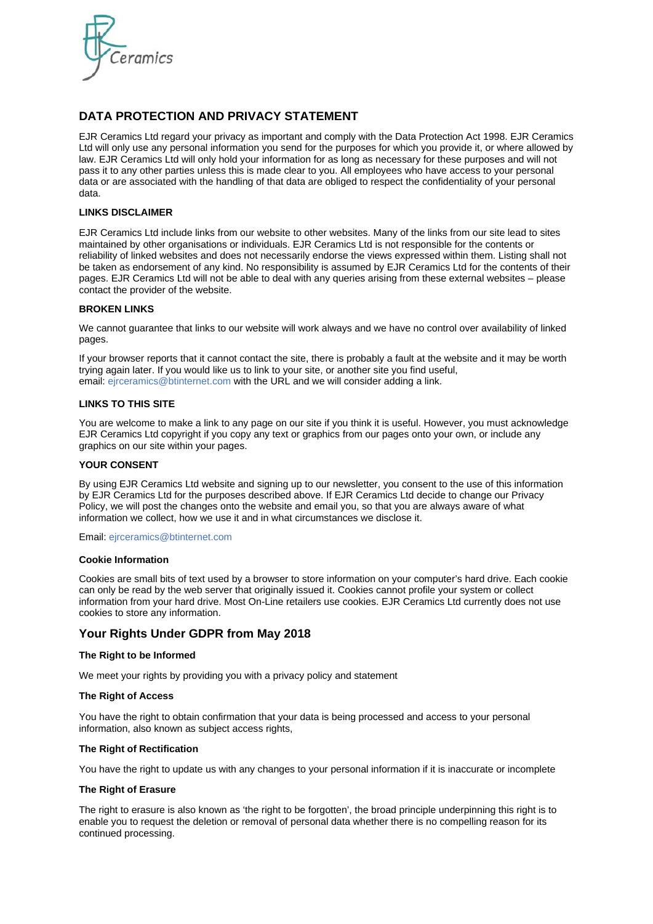

# **DATA PROTECTION AND PRIVACY STATEMENT**

EJR Ceramics Ltd regard your privacy as important and comply with the Data Protection Act 1998. EJR Ceramics Ltd will only use any personal information you send for the purposes for which you provide it, or where allowed by law. EJR Ceramics Ltd will only hold your information for as long as necessary for these purposes and will not pass it to any other parties unless this is made clear to you. All employees who have access to your personal data or are associated with the handling of that data are obliged to respect the confidentiality of your personal data.

## **LINKS DISCLAIMER**

EJR Ceramics Ltd include links from our website to other websites. Many of the links from our site lead to sites maintained by other organisations or individuals. EJR Ceramics Ltd is not responsible for the contents or reliability of linked websites and does not necessarily endorse the views expressed within them. Listing shall not be taken as endorsement of any kind. No responsibility is assumed by EJR Ceramics Ltd for the contents of their pages. EJR Ceramics Ltd will not be able to deal with any queries arising from these external websites – please contact the provider of the website.

## **BROKEN LINKS**

We cannot guarantee that links to our website will work always and we have no control over availability of linked pages.

If your browser reports that it cannot contact the site, there is probably a fault at the website and it may be worth trying again later. If you would like us to link to your site, or another site you find useful, email: ejrceramics@btinternet.com with the URL and we will consider adding a link.

## **LINKS TO THIS SITE**

You are welcome to make a link to any page on our site if you think it is useful. However, you must acknowledge EJR Ceramics Ltd copyright if you copy any text or graphics from our pages onto your own, or include any graphics on our site within your pages.

#### **YOUR CONSENT**

By using EJR Ceramics Ltd website and signing up to our newsletter, you consent to the use of this information by EJR Ceramics Ltd for the purposes described above. If EJR Ceramics Ltd decide to change our Privacy Policy, we will post the changes onto the website and email you, so that you are always aware of what information we collect, how we use it and in what circumstances we disclose it.

Email: ejrceramics@btinternet.com

#### **Cookie Information**

Cookies are small bits of text used by a browser to store information on your computer's hard drive. Each cookie can only be read by the web server that originally issued it. Cookies cannot profile your system or collect information from your hard drive. Most On-Line retailers use cookies. EJR Ceramics Ltd currently does not use cookies to store any information.

## **Your Rights Under GDPR from May 2018**

#### **The Right to be Informed**

We meet your rights by providing you with a privacy policy and statement

#### **The Right of Access**

You have the right to obtain confirmation that your data is being processed and access to your personal information, also known as subject access rights,

#### **The Right of Rectification**

You have the right to update us with any changes to your personal information if it is inaccurate or incomplete

#### **The Right of Erasure**

The right to erasure is also known as 'the right to be forgotten', the broad principle underpinning this right is to enable you to request the deletion or removal of personal data whether there is no compelling reason for its continued processing.